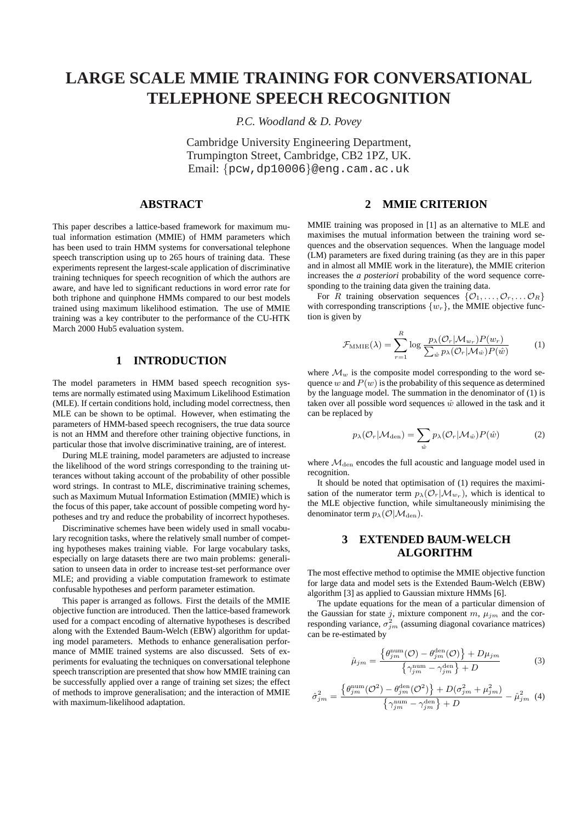# **LARGE SCALE MMIE TRAINING FOR CONVERSATIONAL TELEPHONE SPEECH RECOGNITION**

*P.C. Woodland & D. Povey*

Cambridge University Engineering Department, Trumpington Street, Cambridge, CB2 1PZ, UK. Email: {pcw,dp10006}@eng.cam.ac.uk

### **ABSTRACT**

This paper describes a lattice-based framework for maximum mutual information estimation (MMIE) of HMM parameters which has been used to train HMM systems for conversational telephone speech transcription using up to 265 hours of training data. These experiments represent the largest-scale application of discriminative training techniques for speech recognition of which the authors are aware, and have led to significant reductions in word error rate for both triphone and quinphone HMMs compared to our best models trained using maximum likelihood estimation. The use of MMIE training was a key contributer to the performance of the CU-HTK March 2000 Hub5 evaluation system.

## **1 INTRODUCTION**

The model parameters in HMM based speech recognition systems are normally estimated using Maximum Likelihood Estimation (MLE). If certain conditions hold, including model correctness, then MLE can be shown to be optimal. However, when estimating the parameters of HMM-based speech recognisers, the true data source is not an HMM and therefore other training objective functions, in particular those that involve discriminative training, are of interest.

During MLE training, model parameters are adjusted to increase the likelihood of the word strings corresponding to the training utterances without taking account of the probability of other possible word strings. In contrast to MLE, discriminative training schemes, such as Maximum Mutual Information Estimation (MMIE) which is the focus of this paper, take account of possible competing word hypotheses and try and reduce the probability of incorrect hypotheses.

Discriminative schemes have been widely used in small vocabulary recognition tasks, where the relatively small number of competing hypotheses makes training viable. For large vocabulary tasks, especially on large datasets there are two main problems: generalisation to unseen data in order to increase test-set performance over MLE; and providing a viable computation framework to estimate confusable hypotheses and perform parameter estimation.

This paper is arranged as follows. First the details of the MMIE objective function are introduced. Then the lattice-based framework used for a compact encoding of alternative hypotheses is described along with the Extended Baum-Welch (EBW) algorithm for updating model parameters. Methods to enhance generalisation performance of MMIE trained systems are also discussed. Sets of experiments for evaluating the techniques on conversational telephone speech transcription are presented that show how MMIE training can be successfully applied over a range of training set sizes; the effect of methods to improve generalisation; and the interaction of MMIE with maximum-likelihood adaptation.

### **2 MMIE CRITERION**

MMIE training was proposed in [1] as an alternative to MLE and maximises the mutual information between the training word sequences and the observation sequences. When the language model (LM) parameters are fixed during training (as they are in this paper and in almost all MMIE work in the literature), the MMIE criterion increases the *a posteriori* probability of the word sequence corresponding to the training data given the training data.

For R training observation sequences  $\{O_1, \ldots, O_r, \ldots, O_R\}$ with corresponding transcriptions  $\{w_r\}$ , the MMIE objective function is given by

$$
\mathcal{F}_{\text{MMIE}}(\lambda) = \sum_{r=1}^{R} \log \frac{p_{\lambda}(\mathcal{O}_{r} | \mathcal{M}_{w_r}) P(w_r)}{\sum_{\hat{w}} p_{\lambda}(\mathcal{O}_{r} | \mathcal{M}_{\hat{w}}) P(\hat{w})}
$$
(1)

where  $\mathcal{M}_w$  is the composite model corresponding to the word sequence w and  $P(w)$  is the probability of this sequence as determined by the language model. The summation in the denominator of (1) is taken over all possible word sequences  $\hat{w}$  allowed in the task and it can be replaced by

$$
p_{\lambda}(\mathcal{O}_{r}|\mathcal{M}_{den}) = \sum_{\hat{w}} p_{\lambda}(\mathcal{O}_{r}|\mathcal{M}_{\hat{w}}) P(\hat{w})
$$
 (2)

where  $\mathcal{M}_{den}$  encodes the full acoustic and language model used in recognition.

It should be noted that optimisation of (1) requires the maximisation of the numerator term  $p_{\lambda}(\mathcal{O}_r|\mathcal{M}_{w_r})$ , which is identical to the MLE objective function, while simultaneously minimising the denominator term  $p_{\lambda}(\mathcal{O}|\mathcal{M}_{den})$ .

### **3 EXTENDED BAUM-WELCH ALGORITHM**

The most effective method to optimise the MMIE objective function for large data and model sets is the Extended Baum-Welch (EBW) algorithm [3] as applied to Gaussian mixture HMMs [6].

The update equations for the mean of a particular dimension of the Gaussian for state j, mixture component m,  $\mu_{jm}$  and the corresponding variance,  $\sigma_{jm}^2$  (assuming diagonal covariance matrices) can be re-estimated by

$$
\hat{\mu}_{jm} = \frac{\left\{\theta_{jm}^{\text{num}}(\mathcal{O}) - \theta_{jm}^{\text{den}}(\mathcal{O})\right\} + D\mu_{jm}}{\left\{\gamma_{jm}^{\text{num}} - \gamma_{jm}^{\text{den}}\right\} + D}
$$
(3)

$$
\hat{\sigma}_{jm}^2 = \frac{\left\{\theta_{jm}^{\text{num}}(\mathcal{O}^2) - \theta_{jm}^{\text{den}}(\mathcal{O}^2)\right\} + D(\sigma_{jm}^2 + \mu_{jm}^2)}{\left\{\gamma_{jm}^{\text{num}} - \gamma_{jm}^{\text{den}}\right\} + D} - \hat{\mu}_{jm}^2 \tag{4}
$$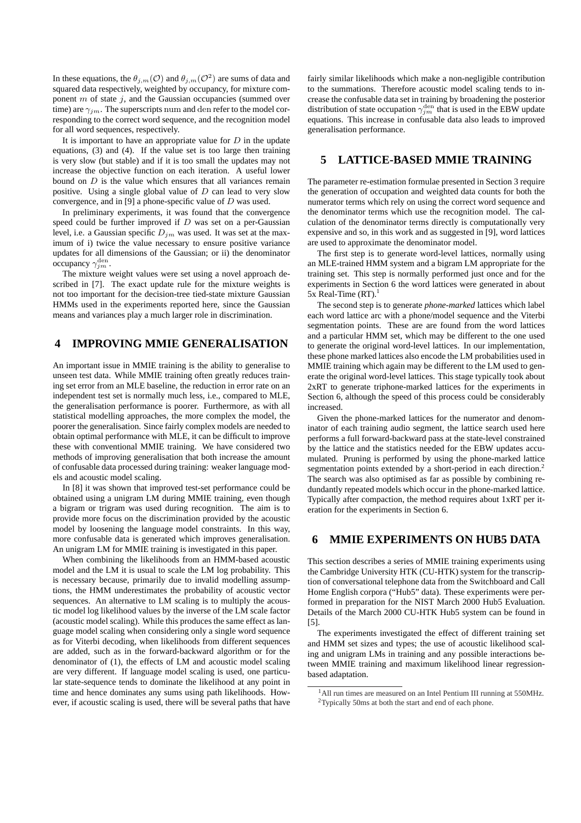In these equations, the  $\theta_{j,m}(\mathcal{O})$  and  $\theta_{j,m}(\mathcal{O}^2)$  are sums of data and squared data respectively, weighted by occupancy, for mixture component  $m$  of state  $j$ , and the Gaussian occupancies (summed over time) are  $\gamma_{im}$ . The superscripts num and den refer to the model corresponding to the correct word sequence, and the recognition model for all word sequences, respectively.

It is important to have an appropriate value for  $D$  in the update equations, (3) and (4). If the value set is too large then training is very slow (but stable) and if it is too small the updates may not increase the objective function on each iteration. A useful lower bound on D is the value which ensures that all variances remain positive. Using a single global value of  $D$  can lead to very slow convergence, and in [9] a phone-specific value of  $D$  was used.

In preliminary experiments, it was found that the convergence speed could be further improved if  $D$  was set on a per-Gaussian level, i.e. a Gaussian specific  $D_{im}$  was used. It was set at the maximum of i) twice the value necessary to ensure positive variance updates for all dimensions of the Gaussian; or ii) the denominator occupancy  $\gamma_{jm}^{\text{den}}$ .

The mixture weight values were set using a novel approach described in [7]. The exact update rule for the mixture weights is not too important for the decision-tree tied-state mixture Gaussian HMMs used in the experiments reported here, since the Gaussian means and variances play a much larger role in discrimination.

#### **4 IMPROVING MMIE GENERALISATION**

An important issue in MMIE training is the ability to generalise to unseen test data. While MMIE training often greatly reduces training set error from an MLE baseline, the reduction in error rate on an independent test set is normally much less, i.e., compared to MLE, the generalisation performance is poorer. Furthermore, as with all statistical modelling approaches, the more complex the model, the poorer the generalisation. Since fairly complex models are needed to obtain optimal performance with MLE, it can be difficult to improve these with conventional MMIE training. We have considered two methods of improving generalisation that both increase the amount of confusable data processed during training: weaker language models and acoustic model scaling.

In [8] it was shown that improved test-set performance could be obtained using a unigram LM during MMIE training, even though a bigram or trigram was used during recognition. The aim is to provide more focus on the discrimination provided by the acoustic model by loosening the language model constraints. In this way, more confusable data is generated which improves generalisation. An unigram LM for MMIE training is investigated in this paper.

When combining the likelihoods from an HMM-based acoustic model and the LM it is usual to scale the LM log probability. This is necessary because, primarily due to invalid modelling assumptions, the HMM underestimates the probability of acoustic vector sequences. An alternative to LM scaling is to multiply the acoustic model log likelihood values by the inverse of the LM scale factor (acoustic model scaling). While this produces the same effect as language model scaling when considering only a single word sequence as for Viterbi decoding, when likelihoods from different sequences are added, such as in the forward-backward algorithm or for the denominator of (1), the effects of LM and acoustic model scaling are very different. If language model scaling is used, one particular state-sequence tends to dominate the likelihood at any point in time and hence dominates any sums using path likelihoods. However, if acoustic scaling is used, there will be several paths that have

fairly similar likelihoods which make a non-negligible contribution to the summations. Therefore acoustic model scaling tends to increase the confusable data set in training by broadening the posterior distribution of state occupation  $\gamma_{jm}^{\text{den}}$  that is used in the EBW update equations. This increase in confusable data also leads to improved generalisation performance.

## **5 LATTICE-BASED MMIE TRAINING**

The parameter re-estimation formulae presented in Section 3 require the generation of occupation and weighted data counts for both the numerator terms which rely on using the correct word sequence and the denominator terms which use the recognition model. The calculation of the denominator terms directly is computationally very expensive and so, in this work and as suggested in [9], word lattices are used to approximate the denominator model.

The first step is to generate word-level lattices, normally using an MLE-trained HMM system and a bigram LM appropriate for the training set. This step is normally performed just once and for the experiments in Section 6 the word lattices were generated in about  $5x$  Real-Time (RT).<sup>1</sup>

The second step is to generate *phone-marked* lattices which label each word lattice arc with a phone/model sequence and the Viterbi segmentation points. These are are found from the word lattices and a particular HMM set, which may be different to the one used to generate the original word-level lattices. In our implementation, these phone marked lattices also encode the LM probabilities used in MMIE training which again may be different to the LM used to generate the original word-level lattices. This stage typically took about 2xRT to generate triphone-marked lattices for the experiments in Section 6, although the speed of this process could be considerably increased.

Given the phone-marked lattices for the numerator and denominator of each training audio segment, the lattice search used here performs a full forward-backward pass at the state-level constrained by the lattice and the statistics needed for the EBW updates accumulated. Pruning is performed by using the phone-marked lattice segmentation points extended by a short-period in each direction.<sup>2</sup> The search was also optimised as far as possible by combining redundantly repeated models which occur in the phone-marked lattice. Typically after compaction, the method requires about 1xRT per iteration for the experiments in Section 6.

## **6 MMIE EXPERIMENTS ON HUB5 DATA**

This section describes a series of MMIE training experiments using the Cambridge University HTK (CU-HTK) system for the transcription of conversational telephone data from the Switchboard and Call Home English corpora ("Hub5" data). These experiments were performed in preparation for the NIST March 2000 Hub5 Evaluation. Details of the March 2000 CU-HTK Hub5 system can be found in [5].

The experiments investigated the effect of different training set and HMM set sizes and types; the use of acoustic likelihood scaling and unigram LMs in training and any possible interactions between MMIE training and maximum likelihood linear regressionbased adaptation.

<sup>&</sup>lt;sup>1</sup>All run times are measured on an Intel Pentium III running at 550MHz. <sup>2</sup>Typically 50ms at both the start and end of each phone.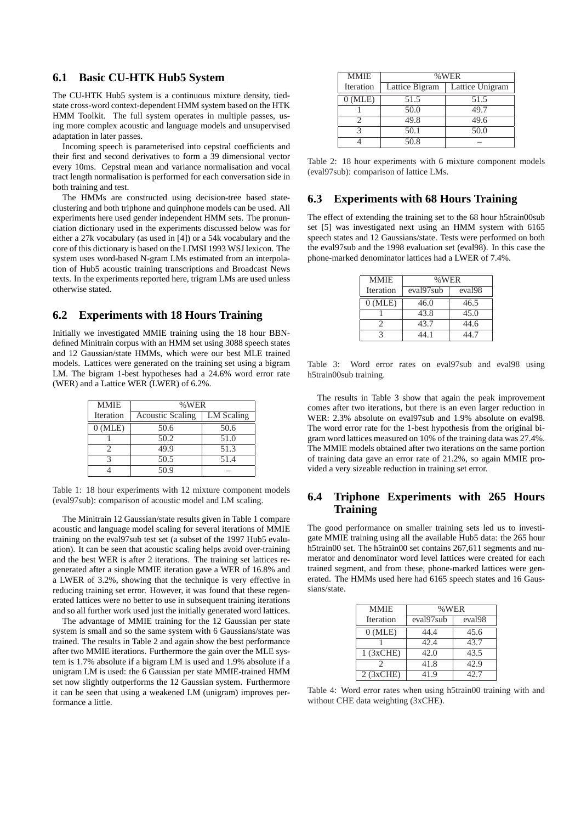#### **6.1 Basic CU-HTK Hub5 System**

The CU-HTK Hub5 system is a continuous mixture density, tiedstate cross-word context-dependent HMM system based on the HTK HMM Toolkit. The full system operates in multiple passes, using more complex acoustic and language models and unsupervised adaptation in later passes.

Incoming speech is parameterised into cepstral coefficients and their first and second derivatives to form a 39 dimensional vector every 10ms. Cepstral mean and variance normalisation and vocal tract length normalisation is performed for each conversation side in both training and test.

The HMMs are constructed using decision-tree based stateclustering and both triphone and quinphone models can be used. All experiments here used gender independent HMM sets. The pronunciation dictionary used in the experiments discussed below was for either a 27k vocabulary (as used in [4]) or a 54k vocabulary and the core of this dictionary is based on the LIMSI 1993 WSJ lexicon. The system uses word-based N-gram LMs estimated from an interpolation of Hub5 acoustic training transcriptions and Broadcast News texts. In the experiments reported here, trigram LMs are used unless otherwise stated.

#### **6.2 Experiments with 18 Hours Training**

Initially we investigated MMIE training using the 18 hour BBNdefined Minitrain corpus with an HMM set using 3088 speech states and 12 Gaussian/state HMMs, which were our best MLE trained models. Lattices were generated on the training set using a bigram LM. The bigram 1-best hypotheses had a 24.6% word error rate (WER) and a Lattice WER (LWER) of 6.2%.

| <b>MMIE</b> | %WER                    |            |
|-------------|-------------------------|------------|
| Iteration   | <b>Acoustic Scaling</b> | LM Scaling |
| $0$ (MLE)   | 50.6                    | 50.6       |
|             | 50.2                    | 51.0       |
|             | 49.9                    | 51.3       |
|             | 50.5                    | 51.4       |
|             | 50 9                    |            |

Table 1: 18 hour experiments with 12 mixture component models (eval97sub): comparison of acoustic model and LM scaling.

The Minitrain 12 Gaussian/state results given in Table 1 compare acoustic and language model scaling for several iterations of MMIE training on the eval97sub test set (a subset of the 1997 Hub5 evaluation). It can be seen that acoustic scaling helps avoid over-training and the best WER is after 2 iterations. The training set lattices regenerated after a single MMIE iteration gave a WER of 16.8% and a LWER of 3.2%, showing that the technique is very effective in reducing training set error. However, it was found that these regenerated lattices were no better to use in subsequent training iterations and so all further work used just the initially generated word lattices.

The advantage of MMIE training for the 12 Gaussian per state system is small and so the same system with 6 Gaussians/state was trained. The results in Table 2 and again show the best performance after two MMIE iterations. Furthermore the gain over the MLE system is 1.7% absolute if a bigram LM is used and 1.9% absolute if a unigram LM is used: the 6 Gaussian per state MMIE-trained HMM set now slightly outperforms the 12 Gaussian system. Furthermore it can be seen that using a weakened LM (unigram) improves performance a little.

| <b>MMIE</b> | %WER           |                 |
|-------------|----------------|-----------------|
| Iteration   | Lattice Bigram | Lattice Unigram |
| $0$ (MLE)   | 51.5           | 51.5            |
|             | 50.0           | 49.7            |
|             | 49.8           | 49.6            |
| 3           | 50.1           | 50.0            |
|             | 50.8           |                 |

Table 2: 18 hour experiments with 6 mixture component models (eval97sub): comparison of lattice LMs.

#### **6.3 Experiments with 68 Hours Training**

The effect of extending the training set to the 68 hour h5train00sub set [5] was investigated next using an HMM system with 6165 speech states and 12 Gaussians/state. Tests were performed on both the eval97sub and the 1998 evaluation set (eval98). In this case the phone-marked denominator lattices had a LWER of 7.4%.

| <b>MMIE</b> | %WER      |                    |
|-------------|-----------|--------------------|
| Iteration   | eval97sub | eval <sub>98</sub> |
| $0$ (MLE)   | 46.0      | 46.5               |
|             | 43.8      | 45.0               |
|             | 43.7      | 44.6               |
|             | 14 1      | 44 7               |

Table 3: Word error rates on eval97sub and eval98 using h5train00sub training.

The results in Table 3 show that again the peak improvement comes after two iterations, but there is an even larger reduction in WER: 2.3% absolute on eval97sub and 1.9% absolute on eval98. The word error rate for the 1-best hypothesis from the original bigram word lattices measured on 10% of the training data was 27.4%. The MMIE models obtained after two iterations on the same portion of training data gave an error rate of 21.2%, so again MMIE provided a very sizeable reduction in training set error.

## **6.4 Triphone Experiments with 265 Hours Training**

The good performance on smaller training sets led us to investigate MMIE training using all the available Hub5 data: the 265 hour h5train00 set. The h5train00 set contains 267,611 segments and numerator and denominator word level lattices were created for each trained segment, and from these, phone-marked lattices were generated. The HMMs used here had 6165 speech states and 16 Gaussians/state.

| <b>MMIE</b>     | %WER      |                    |
|-----------------|-----------|--------------------|
| Iteration       | eval97sub | eval <sub>98</sub> |
| $0$ (MLE)       | 44.4      | 45.6               |
|                 | 42.4      | 43.7               |
| $1$ ( $3xCHE$ ) | 42.0      | 43.5               |
|                 | 41.8      | 42.9               |
| $2$ (3xCHE)     | 41.9      | 42.7               |

Table 4: Word error rates when using h5train00 training with and without CHE data weighting (3xCHE).